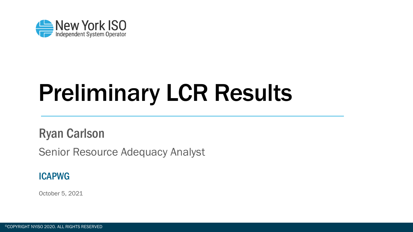

## Preliminary LCR Results

Ryan Carlson

Senior Resource Adequacy Analyst

#### ICAPWG

October 5, 2021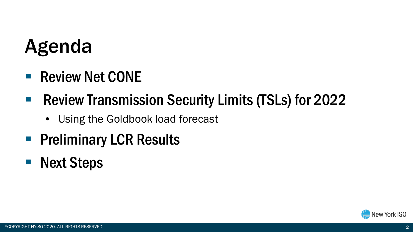## Agenda

■ Review Net CONE

#### ■ Review Transmission Security Limits (TSLs) for 2022

- Using the Goldbook load forecast
- **Preliminary LCR Results**
- Next Steps

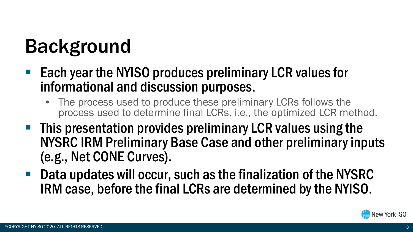## Background

- Each year the NYISO produces preliminary LCR values for informational and discussion purposes.
	- The process used to produce these preliminary LCRs follows the process used to determine final LCRs, i.e., the optimized LCR method.
- **This presentation provides preliminary LCR values using the** NYSRC IRM Preliminary Base Case and other preliminary inputs (e.g., Net CONE Curves).
- Data updates will occur, such as the finalization of the NYSRC IRM case, before the final LCRs are determined by the NYISO.

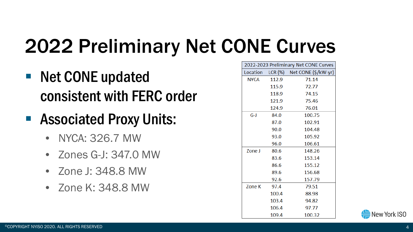## 2022 Preliminary Net CONE Curves

- Net CONE updated consistent with FERC order
- Associated Proxy Units:
	- NYCA: 326.7 MW
	- Zones G-J: 347.0 MW
	- Zone J: 348.8 MW
	- Zone K: 348.8 MW

| 2022-2023 Preliminary Net CONE Curves |       |                                      |  |  |  |
|---------------------------------------|-------|--------------------------------------|--|--|--|
|                                       |       | Location LCR (%) Net CONE (\$/kW-yr) |  |  |  |
| <b>NYCA</b>                           | 112.9 | 71.14                                |  |  |  |
|                                       | 115.9 | 72.77                                |  |  |  |
|                                       | 118.9 | 74.15                                |  |  |  |
|                                       | 121.9 | 75.46                                |  |  |  |
|                                       | 124.9 | 76.01                                |  |  |  |
| $G-I$                                 | 84.0  | 100.75                               |  |  |  |
|                                       | 87.0  | 102.91                               |  |  |  |
|                                       | 90.0  | 104.48                               |  |  |  |
|                                       | 93.0  | 105.92                               |  |  |  |
|                                       | 96.0  | 106.61                               |  |  |  |
| Zone J                                | 80.6  | 148.26                               |  |  |  |
|                                       | 83.6  | 153.14                               |  |  |  |
|                                       | 86.6  | 155.12                               |  |  |  |
|                                       | 89.6  | 156.68                               |  |  |  |
|                                       | 92.6  | 157.79                               |  |  |  |
| <b>Zone K</b>                         | 97.4  | 79.51                                |  |  |  |
|                                       | 100.4 | 88.98                                |  |  |  |
|                                       | 103.4 | 94.82                                |  |  |  |
|                                       | 106.4 | 97.77                                |  |  |  |
|                                       | 109.4 | 100.32                               |  |  |  |

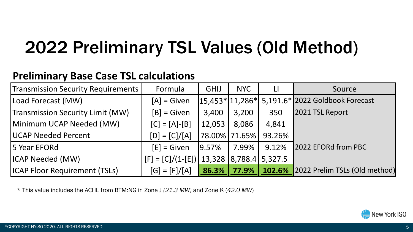### 2022 Preliminary TSL Values (Old Method)

#### **Preliminary Base Case TSL calculations**

| Transmission Security Requirements   | Formula                                        | <b>GHIJ</b> | <b>NYC</b>          | $\mathsf{L}$ | Source                          |
|--------------------------------------|------------------------------------------------|-------------|---------------------|--------------|---------------------------------|
| Load Forecast (MW)                   | $[A]$ = Given                                  |             | $ 15,453* 11,286* $ |              | 5,191.6* 2022 Goldbook Forecast |
| Transmission Security Limit (MW)     | $[B]$ = Given                                  | 3,400       | 3,200               | 350          | 2021 TSL Report                 |
| Minimum UCAP Needed (MW)             | $[C] = [A] - [B]$                              | 12,053      | 8,086               | 4,841        |                                 |
| <b>UCAP Needed Percent</b>           | $[D] = [C]/[A]$                                |             | 78.00% 71.65%       | 93.26%       |                                 |
| 5 Year EFORd                         | $[E]$ = Given                                  | 9.57%       | 7.99%               | 9.12%        | 2022 EFORd from PBC             |
| ICAP Needed (MW)                     | $[F] = [C]/(1-[E])$ 13,328   8,788.4   5,327.5 |             |                     |              |                                 |
| <b>ICAP Floor Requirement (TSLs)</b> | $[G] = [F]/[A]$                                | $86.3\%$    | 77.9%               | 102.6%       | 2022 Prelim TSLs (Old method)   |

\* This value includes the ACHL from BTM:NG in Zone J *(21.3 MW)* and Zone K (*42.0 MW*)

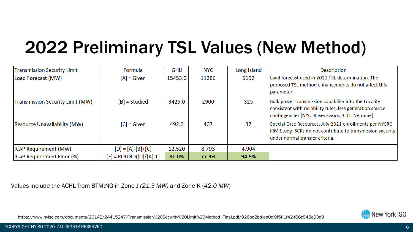### 2022 Preliminary TSL Values (New Method)

| <b>Transmission Security Limit</b>  | Formula                  | GHIJ    | <b>NYC</b> | Long Island | <b>Description</b>                                                                                                                                                   |
|-------------------------------------|--------------------------|---------|------------|-------------|----------------------------------------------------------------------------------------------------------------------------------------------------------------------|
| Load Forecast (MW)                  | $[A]$ = Given            | 15453.0 | 11286      | 5192        | Load forecast used in 2021 TSL determination. The<br>proposed TSL method enhancements do not affect this<br>parameter.                                               |
| Transmission Security Limit (MW)    | $[B]$ = Studied          | 3425.0  | 2900       | 325         | Bulk power transmission capability into the Locality<br>consistent with reliability rules, less generation source<br>contingencies (NYC: Ravenswood 3. LI: Neptune). |
| <b>Resource Unavailability (MW)</b> | $[C]$ = Given            | 492.0   | 407        | 37          | Special Case Resources, July 2021 enrollments per NYSRC<br>IRM Study. SCRs do not contribute to transmission security<br>lunder normal transfer criteria.            |
| <b>ICAP Requirement (MW)</b>        | $[D] = [A] - [B] + [C]$  | 12,520  | 8,793      | 4,904       |                                                                                                                                                                      |
| <b>ICAP Requirement Floor (%)</b>   | $[E]$ = ROUND([D]/[A],1) | 81.0%   | 77.9%      | 94.5%       |                                                                                                                                                                      |

Values include the ACHL from BTM:NG in Zone J *(21.3 MW)* and Zone K (*42.0 MW*)

New York ISO

https://www.nyiso.com/documents/20142/24415247/Transmission%20Security%20Limit%20Method\_Final.pdf/926bd2bd-ae0c-9f5f-1f42-f66c942e23d9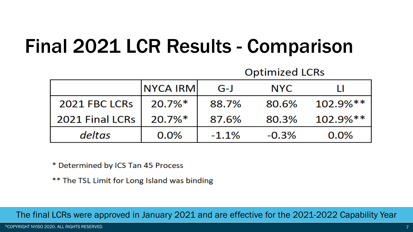### Final 2021 LCR Results - Comparison

|                 | <b>NYCA IRMI</b> | $G-J$   | <b>NYC</b> |             |
|-----------------|------------------|---------|------------|-------------|
| 2021 FBC LCRs   | $20.7\%*$        | 88.7%   | 80.6%      | $102.9\%**$ |
| 2021 Final LCRs | $20.7\%*$        | 87.6%   | 80.3%      | $102.9\%**$ |
| deltas          | 0.0%             | $-1.1%$ | $-0.3%$    | $0.0\%$     |

**Optimized LCRs** 

\* Determined by ICS Tan 45 Process

\*\* The TSL Limit for Long Island was binding

The final LCRs were approved in January 2021 and are effective for the 2021-2022 Capability Year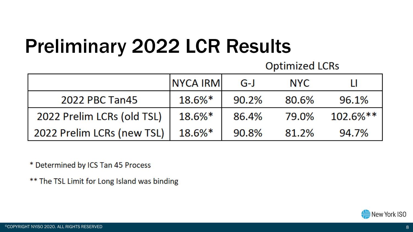### Preliminary 2022 LCR Results

**Optimized LCRs** 

|                            | <b>NYCA IRMI</b> | $G-J$ | <b>NYC</b> |             |
|----------------------------|------------------|-------|------------|-------------|
| 2022 PBC Tan45             | 18.6%*           | 90.2% | 80.6%      | 96.1%       |
| 2022 Prelim LCRs (old TSL) | 18.6%*           | 86.4% | 79.0%      | $102.6\%**$ |
| 2022 Prelim LCRs (new TSL) | $18.6\%$ $*$     | 90.8% | 81.2%      | 94.7%       |

\* Determined by ICS Tan 45 Process

\*\* The TSL Limit for Long Island was binding

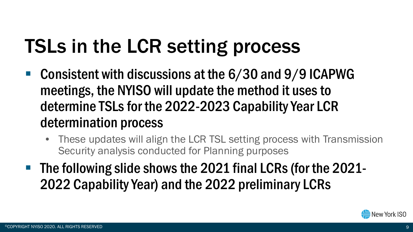## TSLs in the LCR setting process

- Consistent with discussions at the 6/30 and 9/9 ICAPWG meetings, the NYISO will update the method it uses to determine TSLs for the 2022-2023 Capability Year LCR determination process
	- These updates will align the LCR TSL setting process with Transmission Security analysis conducted for Planning purposes
- **The following slide shows the 2021 final LCRs (for the 2021-**2022 Capability Year) and the 2022 preliminary LCRs

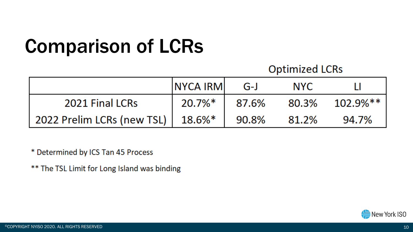## Comparison of LCRs

#### **Optimized LCRs**

|                                     | <b>NYCA IRMI</b> | G-J   | <b>NYC</b> |       |
|-------------------------------------|------------------|-------|------------|-------|
| 2021 Final LCRs                     | $20.7\%*$        | 87.6% |            |       |
| 2022 Prelim LCRs (new TSL)   18.6%* |                  | 90.8% | 81.2%      | 94.7% |

\* Determined by ICS Tan 45 Process

\*\* The TSL Limit for Long Island was binding

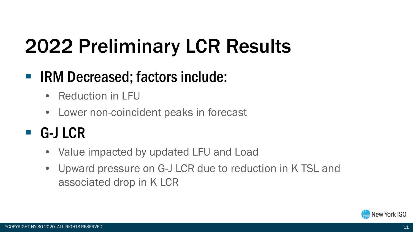## 2022 Preliminary LCR Results

#### ■ IRM Decreased; factors include:

- Reduction in LFU
- Lower non-coincident peaks in forecast

#### ■ G-J LCR

- Value impacted by updated LFU and Load
- Upward pressure on G-J LCR due to reduction in K TSL and associated drop in K LCR

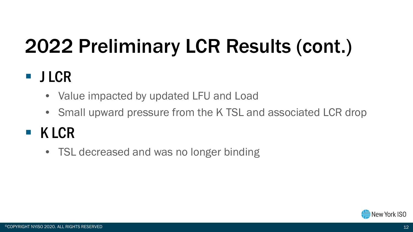## 2022 Preliminary LCR Results (cont.)

#### **JLCR**

- Value impacted by updated LFU and Load
- Small upward pressure from the K TSL and associated LCR drop

### $K LCR$

• TSL decreased and was no longer binding

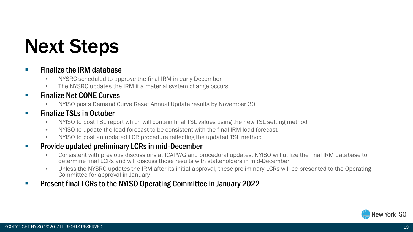### Next Steps

#### $\blacksquare$  Finalize the IRM database

- NYSRC scheduled to approve the final IRM in early December
- The NYSRC updates the IRM if a material system change occurs
- **Finalize Net CONE Curves** 
	- NYISO posts Demand Curve Reset Annual Update results by November 30

#### **Finalize TSLs in October**

- NYISO to post TSL report which will contain final TSL values using the new TSL setting method
- NYISO to update the load forecast to be consistent with the final IRM load forecast
- NYISO to post an updated LCR procedure reflecting the updated TSL method

#### **Provide updated preliminary LCRs in mid-December**

- Consistent with previous discussions at ICAPWG and procedural updates, NYISO will utilize the final IRM database to determine final LCRs and will discuss those results with stakeholders in mid-December.
- Unless the NYSRC updates the IRM after its initial approval, these preliminary LCRs will be presented to the Operating Committee for approval in January
- **Present final LCRs to the NYISO Operating Committee in January 2022**

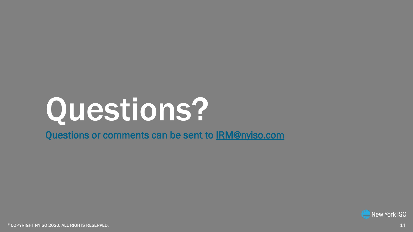# Questions?

Questions or comments can be sent to IRM@nyiso.com